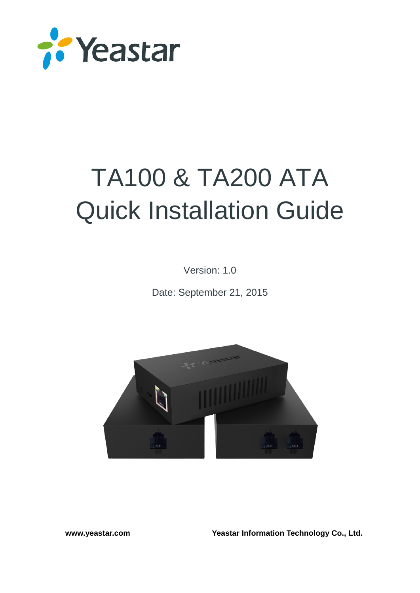

# TA100 & TA200 ATA Quick Installation Guide

Version: 1.0

Date: September 21, 2015



**[www.yeastar.com](http://www.yeastar.com/) Yeastar Information Technology Co., Ltd.**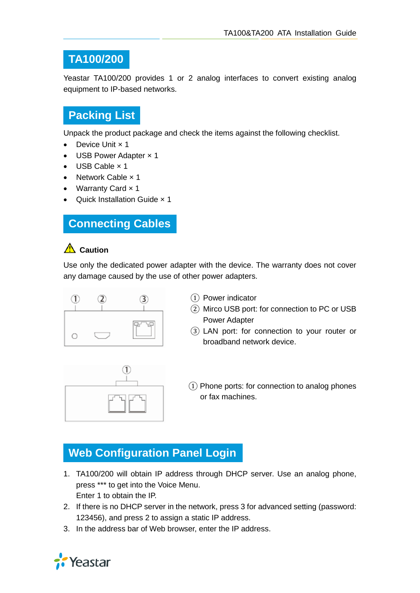#### **TA100/200**

Yeastar TA100/200 provides 1 or 2 analog interfaces to convert existing analog equipment to IP-based networks.

## **Packing List**

Unpack the product package and check the items against the following checklist.

- Device Unit x 1
- USB Power Adapter x 1
- USB Cable × 1
- Network Cable x 1
- Warranty Card x 1
- Quick Installation Guide x 1

#### **Connecting Cables**

#### **Caution**

Use only the dedicated power adapter with the device. The warranty does not cover any damage caused by the use of other power adapters.



- ① Power indicator
- ② Mirco USB port: for connection to PC or USB Power Adapter
- ③ LAN port: for connection to your router or broadband network device.



 $(1)$  Phone ports: for connection to analog phones or fax machines.

# **Web Configuration Panel Login**

- 1. TA100/200 will obtain IP address through DHCP server. Use an analog phone, press \*\*\* to get into the Voice Menu. Enter 1 to obtain the IP.
- 2. If there is no DHCP server in the network, press 3 for advanced setting (password: 123456), and press 2 to assign a static IP address.
- 3. In the address bar of Web browser, enter the IP address.